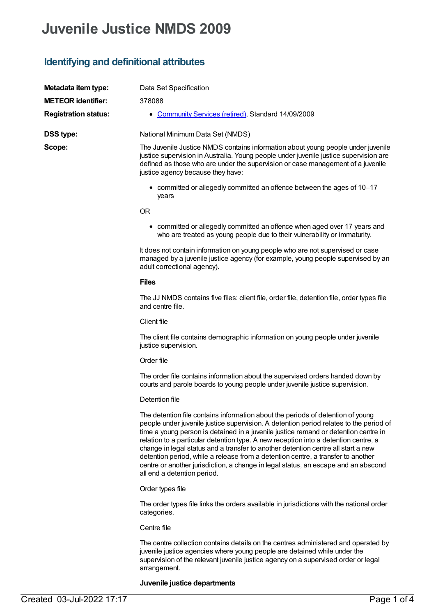# **Juvenile Justice NMDS 2009**

## **Identifying and definitional attributes**

| Metadata item type:         | Data Set Specification                                                                                                                                                                                                                                                                                                                                                                                                                                                                                                                                                                                                                                |  |  |  |  |  |
|-----------------------------|-------------------------------------------------------------------------------------------------------------------------------------------------------------------------------------------------------------------------------------------------------------------------------------------------------------------------------------------------------------------------------------------------------------------------------------------------------------------------------------------------------------------------------------------------------------------------------------------------------------------------------------------------------|--|--|--|--|--|
| <b>METEOR</b> identifier:   | 378088                                                                                                                                                                                                                                                                                                                                                                                                                                                                                                                                                                                                                                                |  |  |  |  |  |
| <b>Registration status:</b> | • Community Services (retired), Standard 14/09/2009                                                                                                                                                                                                                                                                                                                                                                                                                                                                                                                                                                                                   |  |  |  |  |  |
| <b>DSS type:</b>            | National Minimum Data Set (NMDS)                                                                                                                                                                                                                                                                                                                                                                                                                                                                                                                                                                                                                      |  |  |  |  |  |
| Scope:                      | The Juvenile Justice NMDS contains information about young people under juvenile<br>justice supervision in Australia. Young people under juvenile justice supervision are<br>defined as those who are under the supervision or case management of a juvenile<br>justice agency because they have:                                                                                                                                                                                                                                                                                                                                                     |  |  |  |  |  |
|                             | • committed or allegedly committed an offence between the ages of 10-17<br>years                                                                                                                                                                                                                                                                                                                                                                                                                                                                                                                                                                      |  |  |  |  |  |
|                             | <b>OR</b>                                                                                                                                                                                                                                                                                                                                                                                                                                                                                                                                                                                                                                             |  |  |  |  |  |
|                             | • committed or allegedly committed an offence when aged over 17 years and<br>who are treated as young people due to their vulnerability or immaturity.                                                                                                                                                                                                                                                                                                                                                                                                                                                                                                |  |  |  |  |  |
|                             | It does not contain information on young people who are not supervised or case<br>managed by a juvenile justice agency (for example, young people supervised by an<br>adult correctional agency).                                                                                                                                                                                                                                                                                                                                                                                                                                                     |  |  |  |  |  |
|                             | <b>Files</b>                                                                                                                                                                                                                                                                                                                                                                                                                                                                                                                                                                                                                                          |  |  |  |  |  |
|                             | The JJ NMDS contains five files: client file, order file, detention file, order types file<br>and centre file.                                                                                                                                                                                                                                                                                                                                                                                                                                                                                                                                        |  |  |  |  |  |
|                             | Client file                                                                                                                                                                                                                                                                                                                                                                                                                                                                                                                                                                                                                                           |  |  |  |  |  |
|                             | The client file contains demographic information on young people under juvenile<br>justice supervision.                                                                                                                                                                                                                                                                                                                                                                                                                                                                                                                                               |  |  |  |  |  |
|                             | Order file                                                                                                                                                                                                                                                                                                                                                                                                                                                                                                                                                                                                                                            |  |  |  |  |  |
|                             | The order file contains information about the supervised orders handed down by<br>courts and parole boards to young people under juvenile justice supervision.                                                                                                                                                                                                                                                                                                                                                                                                                                                                                        |  |  |  |  |  |
|                             | Detention file                                                                                                                                                                                                                                                                                                                                                                                                                                                                                                                                                                                                                                        |  |  |  |  |  |
|                             | The detention file contains information about the periods of detention of young<br>people under juvenile justice supervision. A detention period relates to the period of<br>time a young person is detained in a juvenile justice remand or detention centre in<br>relation to a particular detention type. A new reception into a detention centre, a<br>change in legal status and a transfer to another detention centre all start a new<br>detention period, while a release from a detention centre, a transfer to another<br>centre or another jurisdiction, a change in legal status, an escape and an abscond<br>all end a detention period. |  |  |  |  |  |
|                             | Order types file                                                                                                                                                                                                                                                                                                                                                                                                                                                                                                                                                                                                                                      |  |  |  |  |  |
|                             | The order types file links the orders available in jurisdictions with the national order<br>categories.                                                                                                                                                                                                                                                                                                                                                                                                                                                                                                                                               |  |  |  |  |  |
|                             | Centre file                                                                                                                                                                                                                                                                                                                                                                                                                                                                                                                                                                                                                                           |  |  |  |  |  |

The centre collection contains details on the centres administered and operated by juvenile justice agencies where young people are detained while under the supervision of the relevant juvenile justice agency on a supervised order or legal arrangement.

#### **Juvenile justice departments**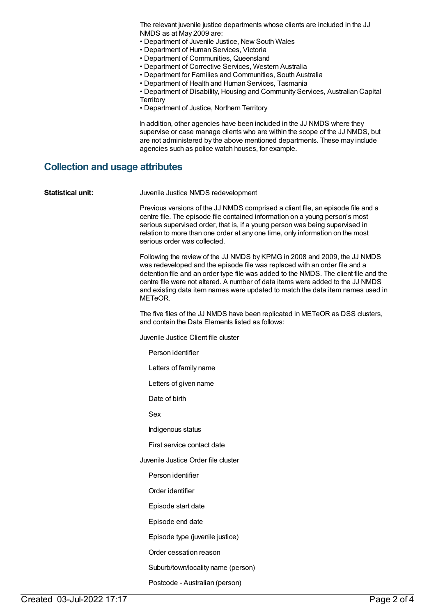The relevant juvenile justice departments whose clients are included in the JJ NMDS as at May 2009 are:

- Department of Juvenile Justice, New South Wales
- Department of Human Services, Victoria
- Department of Communities, Queensland
- Department of Corrective Services, Western Australia
- Department for Families and Communities, South Australia
- Department of Health and Human Services, Tasmania
- Department of Disability, Housing and Community Services, Australian Capital **Territory**
- Department of Justice, Northern Territory

In addition, other agencies have been included in the JJ NMDS where they supervise or case manage clients who are within the scope of the JJ NMDS, but are not administered by the above mentioned departments. These may include agencies such as police watch houses, for example.

#### **Collection and usage attributes**

| <b>Statistical unit:</b> | Juvenile Justice NMDS redevelopment                                                                                                                                                                                                                                                                                                                                                                                            |
|--------------------------|--------------------------------------------------------------------------------------------------------------------------------------------------------------------------------------------------------------------------------------------------------------------------------------------------------------------------------------------------------------------------------------------------------------------------------|
|                          | Previous versions of the JJ NMDS comprised a client file, an episode file and a<br>centre file. The episode file contained information on a young person's most<br>serious supervised order, that is, if a young person was being supervised in<br>relation to more than one order at any one time, only information on the most<br>serious order was collected.                                                               |
|                          | Following the review of the JJ NMDS by KPMG in 2008 and 2009, the JJ NMDS<br>was redeveloped and the episode file was replaced with an order file and a<br>detention file and an order type file was added to the NMDS. The client file and the<br>centre file were not altered. A number of data items were added to the JJ NMDS<br>and existing data item names were updated to match the data item names used in<br>METeOR. |
|                          | The five files of the JJ NMDS have been replicated in METeOR as DSS clusters,<br>and contain the Data Elements listed as follows:                                                                                                                                                                                                                                                                                              |
|                          | Juvenile Justice Client file cluster                                                                                                                                                                                                                                                                                                                                                                                           |
|                          | Person identifier                                                                                                                                                                                                                                                                                                                                                                                                              |
|                          | Letters of family name                                                                                                                                                                                                                                                                                                                                                                                                         |
|                          | Letters of given name                                                                                                                                                                                                                                                                                                                                                                                                          |
|                          | Date of birth                                                                                                                                                                                                                                                                                                                                                                                                                  |
|                          | Sex                                                                                                                                                                                                                                                                                                                                                                                                                            |
|                          | Indigenous status                                                                                                                                                                                                                                                                                                                                                                                                              |
|                          | First service contact date                                                                                                                                                                                                                                                                                                                                                                                                     |
|                          | Juvenile Justice Order file cluster                                                                                                                                                                                                                                                                                                                                                                                            |
|                          | Person identifier                                                                                                                                                                                                                                                                                                                                                                                                              |
|                          | Order identifier                                                                                                                                                                                                                                                                                                                                                                                                               |
|                          | Episode start date                                                                                                                                                                                                                                                                                                                                                                                                             |
|                          | Episode end date                                                                                                                                                                                                                                                                                                                                                                                                               |
|                          | Episode type (juvenile justice)                                                                                                                                                                                                                                                                                                                                                                                                |
|                          | Order cessation reason                                                                                                                                                                                                                                                                                                                                                                                                         |
|                          | Suburb/town/locality name (person)                                                                                                                                                                                                                                                                                                                                                                                             |
|                          | Postcode - Australian (person)                                                                                                                                                                                                                                                                                                                                                                                                 |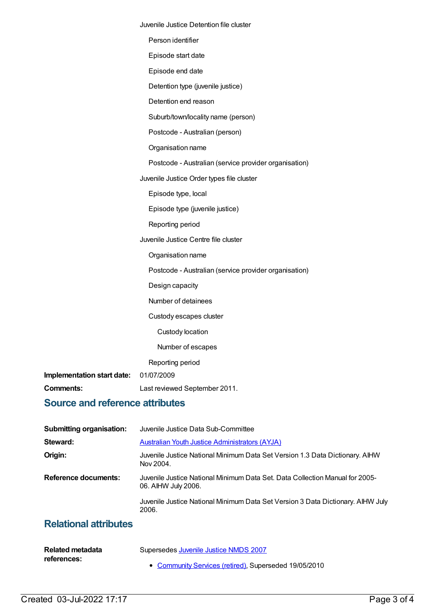|                            | Juvenile Justice Detention file cluster               |
|----------------------------|-------------------------------------------------------|
|                            | Person identifier                                     |
|                            | Episode start date                                    |
|                            | Episode end date                                      |
|                            | Detention type (juvenile justice)                     |
|                            | Detention end reason                                  |
|                            | Suburb/town/locality name (person)                    |
|                            | Postcode - Australian (person)                        |
|                            | Organisation name                                     |
|                            | Postcode - Australian (service provider organisation) |
|                            | Juvenile Justice Order types file cluster             |
|                            | Episode type, local                                   |
|                            | Episode type (juvenile justice)                       |
|                            | Reporting period                                      |
|                            | Juvenile Justice Centre file cluster                  |
|                            | Organisation name                                     |
|                            | Postcode - Australian (service provider organisation) |
|                            | Design capacity                                       |
|                            | Number of detainees                                   |
|                            | Custody escapes cluster                               |
|                            | Custody location                                      |
|                            | Number of escapes                                     |
|                            | Reporting period                                      |
| Implementation start date: | 01/07/2009                                            |
| <b>Comments:</b>           | Last reviewed September 2011.                         |

## **Source and reference attributes**

| <b>Submitting organisation:</b> | Juvenile Justice Data Sub-Committee                                                                 |  |
|---------------------------------|-----------------------------------------------------------------------------------------------------|--|
| Steward:                        | <b>Australian Youth Justice Administrators (AYJA)</b>                                               |  |
| Origin:                         | Juvenile Justice National Minimum Data Set Version 1.3 Data Dictionary. AIHW<br>Nov 2004.           |  |
| <b>Reference documents:</b>     | Juvenile Justice National Minimum Data Set. Data Collection Manual for 2005-<br>06. AIHW July 2006. |  |
|                                 | Juvenile Justice National Minimum Data Set Version 3 Data Dictionary. AIHW July<br>2006.            |  |
| Deletional ettrikutea           |                                                                                                     |  |

### **Relational attributes**

| Related metadata | Supersedes Juvenile Justice NMDS 2007                 |
|------------------|-------------------------------------------------------|
| references:      |                                                       |
|                  | • Community Services (retired), Superseded 19/05/2010 |